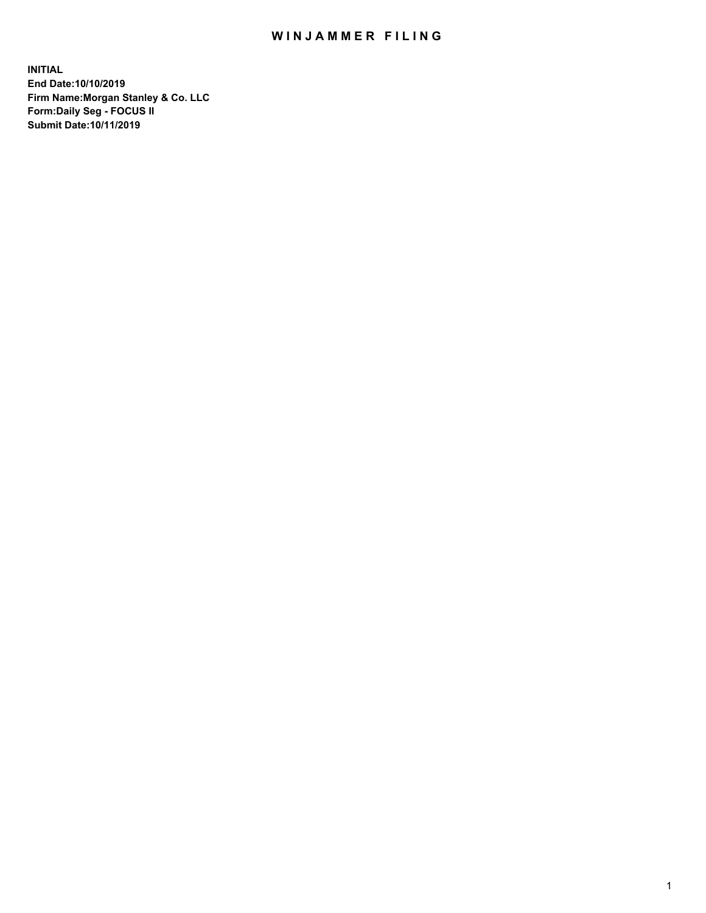## WIN JAMMER FILING

**INITIAL End Date:10/10/2019 Firm Name:Morgan Stanley & Co. LLC Form:Daily Seg - FOCUS II Submit Date:10/11/2019**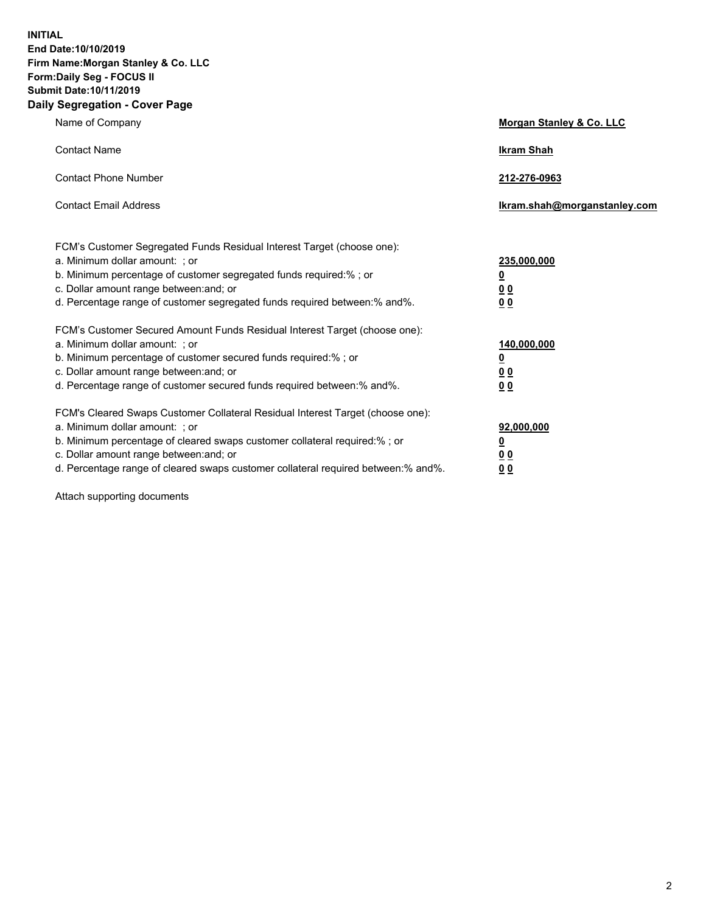**INITIAL End Date:10/10/2019 Firm Name:Morgan Stanley & Co. LLC Form:Daily Seg - FOCUS II Submit Date:10/11/2019 Daily Segregation - Cover Page**

| Name of Company                                                                                                                                                                                                                                                                                                                | Morgan Stanley & Co. LLC                                    |
|--------------------------------------------------------------------------------------------------------------------------------------------------------------------------------------------------------------------------------------------------------------------------------------------------------------------------------|-------------------------------------------------------------|
| <b>Contact Name</b>                                                                                                                                                                                                                                                                                                            | <b>Ikram Shah</b>                                           |
| <b>Contact Phone Number</b>                                                                                                                                                                                                                                                                                                    | 212-276-0963                                                |
| <b>Contact Email Address</b>                                                                                                                                                                                                                                                                                                   | lkram.shah@morganstanley.com                                |
| FCM's Customer Segregated Funds Residual Interest Target (choose one):<br>a. Minimum dollar amount: ; or<br>b. Minimum percentage of customer segregated funds required:% ; or<br>c. Dollar amount range between: and; or<br>d. Percentage range of customer segregated funds required between: % and %.                       | 235,000,000<br><u>0</u><br><u>00</u><br>0 <sup>0</sup>      |
| FCM's Customer Secured Amount Funds Residual Interest Target (choose one):<br>a. Minimum dollar amount: ; or<br>b. Minimum percentage of customer secured funds required:%; or<br>c. Dollar amount range between: and; or<br>d. Percentage range of customer secured funds required between:% and%.                            | 140,000,000<br><u>0</u><br>0 <sub>0</sub><br>0 <sub>0</sub> |
| FCM's Cleared Swaps Customer Collateral Residual Interest Target (choose one):<br>a. Minimum dollar amount: ; or<br>b. Minimum percentage of cleared swaps customer collateral required:% ; or<br>c. Dollar amount range between: and; or<br>d. Percentage range of cleared swaps customer collateral required between:% and%. | 92,000,000<br><u>0</u><br><u>00</u><br>0 <sup>0</sup>       |

Attach supporting documents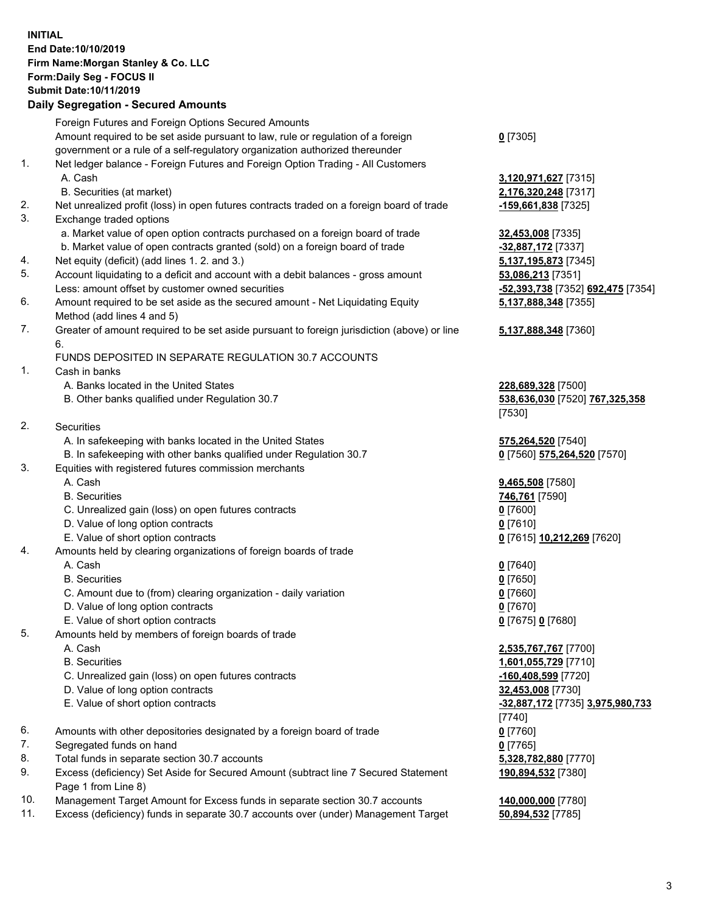## **INITIAL End Date:10/10/2019 Firm Name:Morgan Stanley & Co. LLC Form:Daily Seg - FOCUS II Submit Date:10/11/2019**

## **Daily Segregation - Secured Amounts**

|           | Foreign Futures and Foreign Options Secured Amounts                                               |                                   |
|-----------|---------------------------------------------------------------------------------------------------|-----------------------------------|
|           | Amount required to be set aside pursuant to law, rule or regulation of a foreign                  | $0$ [7305]                        |
|           | government or a rule of a self-regulatory organization authorized thereunder                      |                                   |
| 1.        | Net ledger balance - Foreign Futures and Foreign Option Trading - All Customers                   |                                   |
|           | A. Cash                                                                                           | 3,120,971,627 [7315]              |
|           | B. Securities (at market)                                                                         | 2,176,320,248 [7317]              |
| 2.        | Net unrealized profit (loss) in open futures contracts traded on a foreign board of trade         | -159,661,838 [7325]               |
| 3.        | Exchange traded options                                                                           |                                   |
|           | a. Market value of open option contracts purchased on a foreign board of trade                    | 32,453,008 [7335]                 |
|           | b. Market value of open contracts granted (sold) on a foreign board of trade                      | -32,887,172 [7337]                |
| 4.        | Net equity (deficit) (add lines 1.2. and 3.)                                                      | 5,137,195,873 [7345]              |
| 5.        | Account liquidating to a deficit and account with a debit balances - gross amount                 | 53,086,213 [7351]                 |
|           | Less: amount offset by customer owned securities                                                  | -52,393,738 [7352] 692,475 [7354] |
| 6.        | Amount required to be set aside as the secured amount - Net Liquidating Equity                    | 5,137,888,348 [7355]              |
|           | Method (add lines 4 and 5)                                                                        |                                   |
| 7.        | Greater of amount required to be set aside pursuant to foreign jurisdiction (above) or line<br>6. | 5,137,888,348 [7360]              |
|           | FUNDS DEPOSITED IN SEPARATE REGULATION 30.7 ACCOUNTS                                              |                                   |
| 1.        | Cash in banks                                                                                     |                                   |
|           | A. Banks located in the United States                                                             | 228,689,328 [7500]                |
|           | B. Other banks qualified under Regulation 30.7                                                    | 538,636,030 [7520] 767,325,358    |
|           |                                                                                                   | [7530]                            |
| 2.        | <b>Securities</b>                                                                                 |                                   |
|           | A. In safekeeping with banks located in the United States                                         | 575,264,520 [7540]                |
|           | B. In safekeeping with other banks qualified under Regulation 30.7                                | 0 [7560] 575,264,520 [7570]       |
| 3.        | Equities with registered futures commission merchants                                             |                                   |
|           | A. Cash                                                                                           | 9,465,508 [7580]                  |
|           | <b>B.</b> Securities                                                                              | 746,761 [7590]                    |
|           | C. Unrealized gain (loss) on open futures contracts                                               | $0$ [7600]                        |
|           | D. Value of long option contracts                                                                 | $0$ [7610]                        |
|           | E. Value of short option contracts                                                                | 0 [7615] 10,212,269 [7620]        |
| 4.        | Amounts held by clearing organizations of foreign boards of trade                                 |                                   |
|           | A. Cash                                                                                           | $0$ [7640]                        |
|           | <b>B.</b> Securities                                                                              | $0$ [7650]                        |
|           | C. Amount due to (from) clearing organization - daily variation                                   | $0$ [7660]                        |
|           | D. Value of long option contracts                                                                 | $0$ [7670]                        |
|           | E. Value of short option contracts                                                                | 0 [7675] 0 [7680]                 |
| 5.        | Amounts held by members of foreign boards of trade                                                |                                   |
|           | A. Cash                                                                                           | 2,535,767,767 [7700]              |
|           | <b>B.</b> Securities                                                                              | 1,601,055,729 [7710]              |
|           | C. Unrealized gain (loss) on open futures contracts                                               | -160,408,599 [7720]               |
|           | D. Value of long option contracts                                                                 | 32,453,008 [7730]                 |
|           | E. Value of short option contracts                                                                | -32,887,172 [7735] 3,975,980,733  |
|           |                                                                                                   | $[7740]$                          |
| 6.        | Amounts with other depositories designated by a foreign board of trade                            | $0$ [7760]                        |
| 7.        | Segregated funds on hand                                                                          | $0$ [7765]                        |
| 8.        | Total funds in separate section 30.7 accounts                                                     | 5,328,782,880 [7770]              |
| 9.        | Excess (deficiency) Set Aside for Secured Amount (subtract line 7 Secured Statement               | 190,894,532 [7380]                |
|           | Page 1 from Line 8)                                                                               |                                   |
| $10^{-1}$ | Managament Taract Amount for Excess funds in separate section 20.7 secounts                       | 440.000.000.177001                |

10. Management Target Amount for Excess funds in separate section 30.7 accounts **140,000,000** [7780]<br>11. Excess (deficiency) funds in separate 30.7 accounts over (under) Management Target 50,894,532 [7785] 11. Excess (deficiency) funds in separate 30.7 accounts over (under) Management Target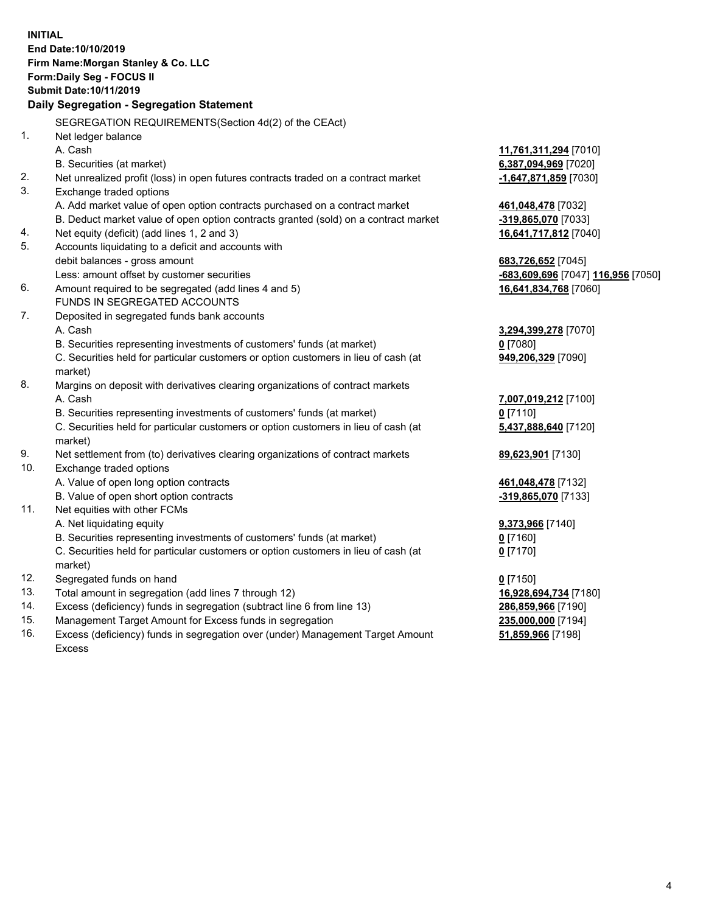**INITIAL End Date:10/10/2019 Firm Name:Morgan Stanley & Co. LLC Form:Daily Seg - FOCUS II Submit Date:10/11/2019 Daily Segregation - Segregation Statement** SEGREGATION REQUIREMENTS(Section 4d(2) of the CEAct) 1. Net ledger balance A. Cash **11,761,311,294** [7010] B. Securities (at market) **6,387,094,969** [7020] 2. Net unrealized profit (loss) in open futures contracts traded on a contract market **-1,647,871,859** [7030] 3. Exchange traded options A. Add market value of open option contracts purchased on a contract market **461,048,478** [7032] B. Deduct market value of open option contracts granted (sold) on a contract market **-319,865,070** [7033] 4. Net equity (deficit) (add lines 1, 2 and 3) **16,641,717,812** [7040] 5. Accounts liquidating to a deficit and accounts with debit balances - gross amount **683,726,652** [7045] Less: amount offset by customer securities **-683,609,696** [7047] **116,956** [7050] 6. Amount required to be segregated (add lines 4 and 5) **16,641,834,768** [7060] FUNDS IN SEGREGATED ACCOUNTS 7. Deposited in segregated funds bank accounts A. Cash **3,294,399,278** [7070] B. Securities representing investments of customers' funds (at market) **0** [7080] C. Securities held for particular customers or option customers in lieu of cash (at market) **949,206,329** [7090] 8. Margins on deposit with derivatives clearing organizations of contract markets A. Cash **7,007,019,212** [7100] B. Securities representing investments of customers' funds (at market) **0** [7110] C. Securities held for particular customers or option customers in lieu of cash (at market) **5,437,888,640** [7120] 9. Net settlement from (to) derivatives clearing organizations of contract markets **89,623,901** [7130] 10. Exchange traded options A. Value of open long option contracts **461,048,478** [7132] B. Value of open short option contracts **-319,865,070** [7133] 11. Net equities with other FCMs A. Net liquidating equity **9,373,966** [7140] B. Securities representing investments of customers' funds (at market) **0** [7160] C. Securities held for particular customers or option customers in lieu of cash (at market) **0** [7170] 12. Segregated funds on hand **0** [7150] 13. Total amount in segregation (add lines 7 through 12) **16,928,694,734** [7180] 14. Excess (deficiency) funds in segregation (subtract line 6 from line 13) **286,859,966** [7190] 15. Management Target Amount for Excess funds in segregation **235,000,000** [7194] 16. Excess (deficiency) funds in segregation over (under) Management Target Amount **51,859,966** [7198]

Excess